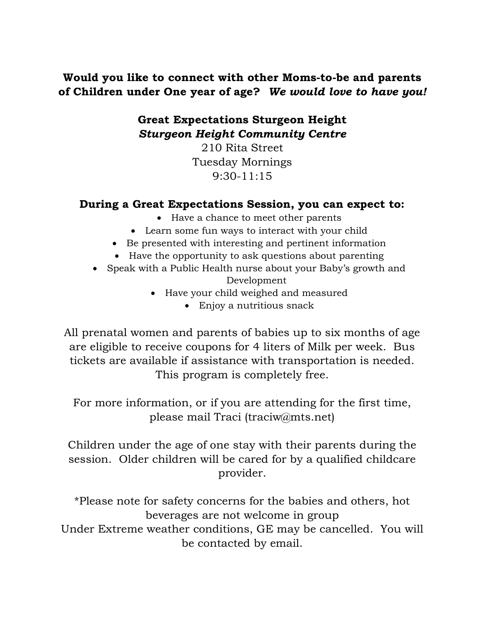## Would you like to connect with other Moms-to-be and parents of Children under One year of age? We would love to have you!

## Great Expectations Sturgeon Height Sturgeon Height Community Centre

210 Rita Street Tuesday Mornings 9:30-11:15

## During a Great Expectations Session, you can expect to:

- Have a chance to meet other parents
- Learn some fun ways to interact with your child
- Be presented with interesting and pertinent information
- Have the opportunity to ask questions about parenting
- Speak with a Public Health nurse about your Baby's growth and Development
	- Have your child weighed and measured
		- Enjoy a nutritious snack

All prenatal women and parents of babies up to six months of age are eligible to receive coupons for 4 liters of Milk per week. Bus tickets are available if assistance with transportation is needed. This program is completely free.

For more information, or if you are attending for the first time, please mail Traci (traciw@mts.net)

Children under the age of one stay with their parents during the session. Older children will be cared for by a qualified childcare provider.

\*Please note for safety concerns for the babies and others, hot beverages are not welcome in group Under Extreme weather conditions, GE may be cancelled. You will be contacted by email.